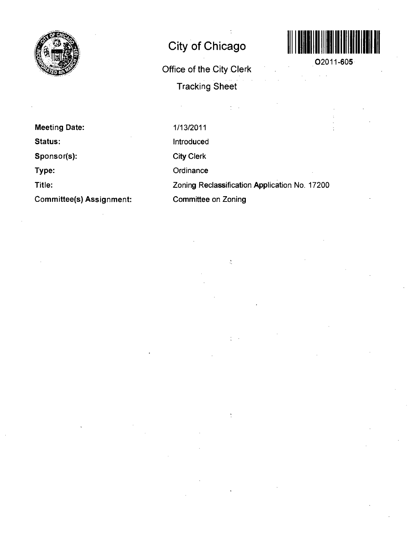

# **City of Chicago**

**Office of the City Clerk Tracking Sheet** 



**02011-605** 

**Meeting Date: Status: Sponsor(s): Type: Title: Committee(s) Assignment:**  1/13/2011 Introduced City Clerk **Ordinance** Zoning Reclassification Application No. 17200 Committee on Zoning

 $\frac{1}{2}$  .  $\frac{1}{2}$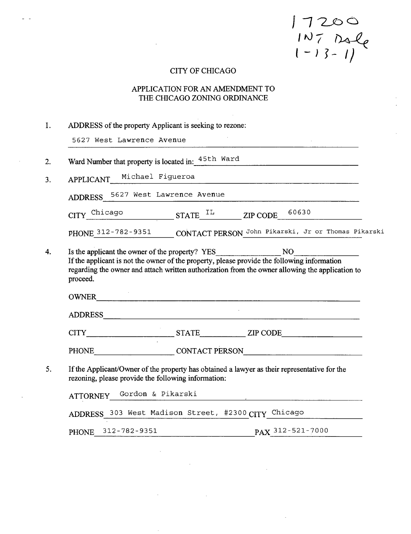$17200$ <br> $10700$ <br> $1-13-1$ 

## CITY OF CHICAGO

## APPLICATION FOR AN AMENDMENT TO THE CHICAGO ZONING ORDINANCE

| I. | ADDRESS of the property Applicant is seeking to rezone:                                                                                                                                                                                                          |  |  |  |
|----|------------------------------------------------------------------------------------------------------------------------------------------------------------------------------------------------------------------------------------------------------------------|--|--|--|
|    | 5627 West Lawrence Avenue                                                                                                                                                                                                                                        |  |  |  |
| 2. | Ward Number that property is located in: 45th Ward                                                                                                                                                                                                               |  |  |  |
| 3. | APPLICANT Michael Figueroa                                                                                                                                                                                                                                       |  |  |  |
|    | ADDRESS 5627 West Lawrence Avenue                                                                                                                                                                                                                                |  |  |  |
|    | $CITY$ <sup>Chicago</sup> STATE <sup>IL</sup> ZIP CODE 60630                                                                                                                                                                                                     |  |  |  |
|    | PHONE 312-782-9351 CONTACT PERSON John Pikarski, Jr or Thomas Pikarski                                                                                                                                                                                           |  |  |  |
| 4. | Is the applicant the owner of the property? YES NO<br>If the applicant is not the owner of the property, please provide the following information<br>regarding the owner and attach written authorization from the owner allowing the application to<br>proceed. |  |  |  |
|    |                                                                                                                                                                                                                                                                  |  |  |  |
|    |                                                                                                                                                                                                                                                                  |  |  |  |
|    | PHONE CONTACT PERSON                                                                                                                                                                                                                                             |  |  |  |
| 5. | If the Applicant/Owner of the property has obtained a lawyer as their representative for the<br>rezoning, please provide the following information:                                                                                                              |  |  |  |
|    | ATTORNEY_Gordon & Pikarski                                                                                                                                                                                                                                       |  |  |  |
|    | ADDRESS 303 West Madison Street, #2300 CITY Chicago                                                                                                                                                                                                              |  |  |  |
|    | PHONE 312-782-9351 PAX 312-521-7000                                                                                                                                                                                                                              |  |  |  |

 $\sim 10^{-11}$ 

 $\sim$ 

and the company of the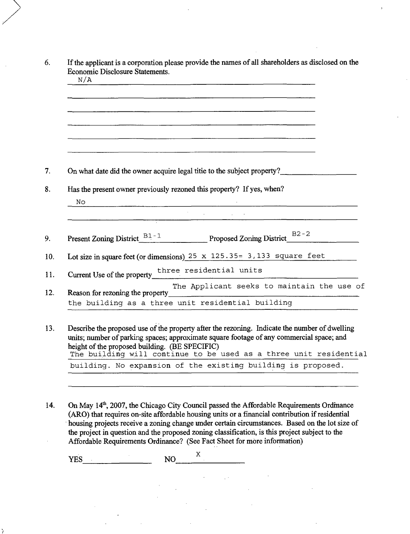| On what date did the owner acquire legal titie to the subject property?                                                                                                                   |
|-------------------------------------------------------------------------------------------------------------------------------------------------------------------------------------------|
| Has the present owner previously rezoned this property? If yes, when?                                                                                                                     |
| No.                                                                                                                                                                                       |
|                                                                                                                                                                                           |
|                                                                                                                                                                                           |
| Present Zoning District_B1-1 Proposed Zoning District_B2-2                                                                                                                                |
| Lot size in square feet (or dimensions) $25 \times 125.35 = 3.133$ square feet                                                                                                            |
|                                                                                                                                                                                           |
|                                                                                                                                                                                           |
| The Applicant seeks to maintain the use of<br>Reason for rezoning the property                                                                                                            |
| the building as a three unit residential building                                                                                                                                         |
|                                                                                                                                                                                           |
|                                                                                                                                                                                           |
| Describe the proposed use of the property after the rezoning. Indicate the number of dwelling<br>units; number of parking spaces; approximate square footage of any commercial space; and |
| height of the proposed building. (BE SPECIFIC)                                                                                                                                            |

14. On May 14<sup>th</sup>, 2007, the Chicago City Council passed the Affordable Requirements Ordinance (ARO) that requires on-site affordable housing units or a financial contribution if residential housing projects receive a zoning change under certain circumstances. Based on the lot size of the project in question and the proposed zoning classification, is this project subject to the Affordable Requirements Ordinance? (See Fact Sheet for more information)

 $\sim 10^{-10}$ 

 $\chi$  .

 $\mathbf X$ YES NO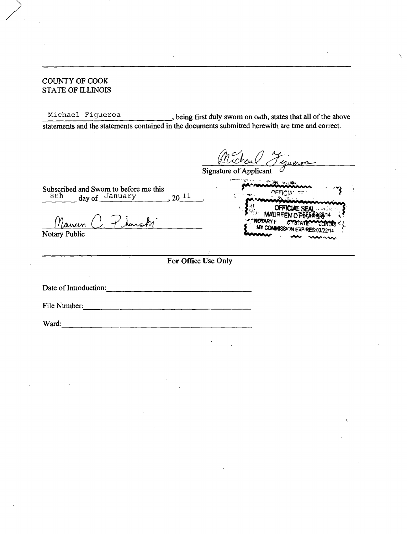## COUNTY OF COOK STATE OF ILLINOIS

Michael Figueroa , being first duly swom on oath, states that all of the above statements and the statements contained in the documents submitted herewith are tme and conect.

**ARY F** 

*OFFICIAE SEAL*<br>MALIPEENLO PRES

COMMISSION EXPIRES:03/22/14

Signature of Applicant

Subscribed and Swom to before me this 8th day of January , 20<sup>11</sup>

Marren

Notary Public

**For Office Use Only** 

Date of Inttoductton:

File Nimiber: 

Ward: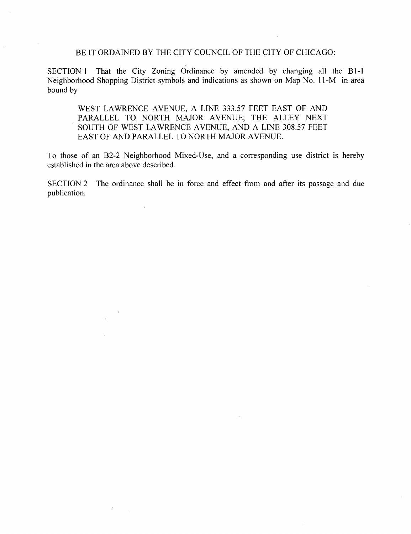## BE IT ORDAINED BY THE CITY COUNCIL OF THE CITY OF CHICAGO:

SECTION 1 That the City Zoning Ordinance by amended by changing all the B1-1 Neighborhood Shopping District symbols and indications as shown on Map No. 11-M in area bound by

WEST LAWRENCE AVENUE, A LINE 333.57 FEET EAST OF AND PARALLEL TO NORTH MAJOR AVENUE; THE ALLEY NEXT SOUTH OF WEST LAWRENCE AVENUE, AND A LINE 308.57 FEET EAST OF AND PARALLEL TO NORTH MAJOR AVENUE.

To those of an B2-2 Neighborhood Mixed-Use, and a corresponding use district is hereby established in the area above described.

SECTION 2 The ordinance shall be in force and effect from and after its passage and due publication.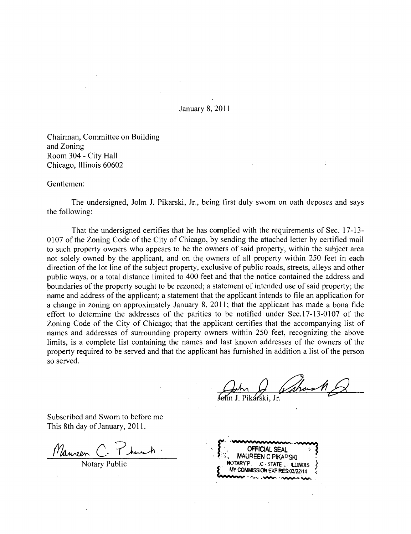January 8,2011

Chainnan, Committee on Building and Zoning Room 304 - City Hall Chicago, Illinois 60602

Gentlemen:

The undersigned, Jolm J. Pikarski, Jr., being first duly swom on oath deposes and says the following:

That the undersigned certifies that he has complied with the requirements of Sec. 17-13- 0107 of the Zoning Code of the City of Chicago, by sending the attached letter by certified mail to such property owners who appears to be the owners of said property, within the subject area not solely owned by the applicant, and on the owners of all property within 250 feet in each direction of the lot line of the subject property, exclusive of public roads, streets, alleys and other public ways, or a total distance limited to 400 feet and that the notice contained the address and boundaries of the property sought to be rezoned; a statement of intended use of said property; the name and address of the applicant; a statement that the applicant intends to file an application for a change in zoning on approximately January 8, 2011; that the applicant has made a bona fide effort to determine the addresses of the parities to be notified under Sec. 17-13-0107 of the Zoning Code of the City of Chicago; that the applicant certifies that the accompanying list of names and addresses of surrounding property owners within 250 feet, recognizing the above limits, is a complete list containing the names and last known addresses of the owners of the property required to be served and that the applicant has furnished in addition a list of the person so served.

in J. Pikárski, Jr.

Subscribed and Swom to before me This 8th day of January, 2011.

*Nauven* C Thanh **S**<br>
Notary Public<br>
Notary Public<br>
PHAPSKI ROTARYP C-STATE... ILLINOIS **OFFICIAL SEAL MAUREEN C PIKAPSKI** MY COMMISSION EXPIRES:03/22/14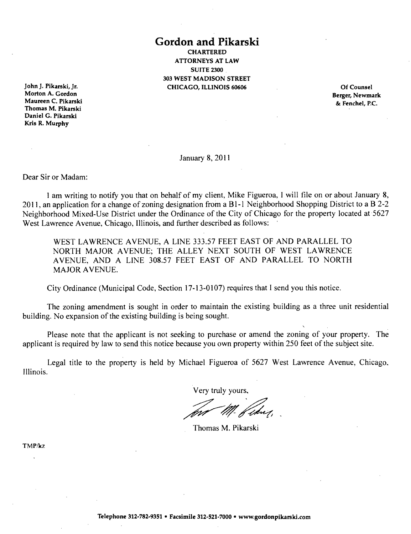**Gordon and Pikarski CHARTERED** ATTORNEYS AT LAW SUITE 2300 303 WEST MADISON STREET CHICAGO, ILLINOIS 60606 Of Counsel

John J. Pikarski, Jr. Morton A. Gordon Maureen C. Pikarski Thomas M. Pikarski Daniel G. Pikarski Kris R. Murphy

Berger, Newmark & Fenchel, P.C.

January 8, 2011

Dear Sir or Madam:

1 am writing to notify you that on behalf of my client, Mike Figueroa, I will file on or about January 8, 2011, an application for a change of zoning designation from a Bl- l Neighborhood Shopping District to a B 2-2 Neighborhood Mixed-Use District under the Ordinance of the City of Chicago for the property located at 5627 West Lawrence Avenue, Chicago, Illinois, and further described as follows:

WEST LAWRENCE AVENUE, A LINE 333.57 FEET EAST OF AND PARALLEL TO NORTH MAJOR AVENUE; THE ALLEY NEXT SOUTH OF WEST LAWRENCE AVENUE, AND A LINE 308.57 FEET EAST OF AND PARALLEL TO NORTH MAJOR AVENUE.

City Ordinance (Municipal Code, Section 17-13-0107) requires that I send you this notice.

The zoning amendment is sought in order to maintain the existing building as a three unit residential building. No expansion of the existing building is being sought.

Please note that the applicant is not seeking to purchase or amend the zoning of your property. The applicant is required by law to send this notice because you own property within 250 feet of the subject site.

Legal title to the property is held by Michael Figueroa of 5627 West Lawrence Avenue, Chicago. Illinois.

Very truly yours.

Thomas M. Pikarski

TMP/kz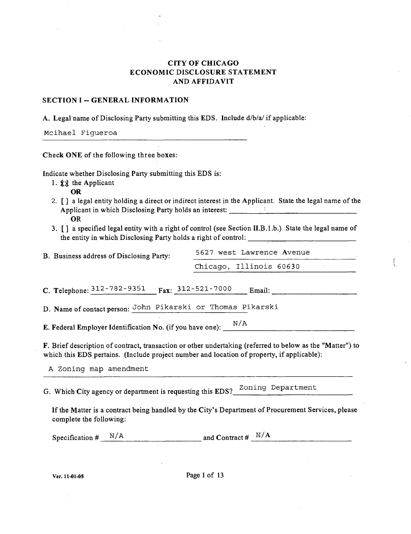## **CITYOFCHICAGO ECONOMIC DISCLOSURE STATEMENT AND AFFIDAVIT**

#### **SECTION I - GENERAL INFORMATION**

A. Legal name of Disclosing Party submitting this EDS. Include d/b/a/ if applicable:

Mcihael Figueroa

Check ONE of the following three boxes:

Indicate whether Disclosing Party submitting this EDS is:

1.  $\overrightarrow{xx}$  the Applicant

OR

- *2. [ J a legal entity holding a direct or indirect interest in the Applicant. State the legal name of the Applicant in which Disclosing Party holds an interest: '*  **OR**
- 3. [ ] a specified legal entity with a right of control (see Section II.B.l .b.) State the legal name of the entity in which Disclosing Party holds a right of control:

| B. Business address of Disclosing Party: | 5627 west Lawrence Avenue |  |  |
|------------------------------------------|---------------------------|--|--|
|                                          | Chicago, Illinois 60630   |  |  |

C. Telephone:  $\frac{312-782-9351}{2}$  Fax:  $\frac{312-521-7000}{2}$  Email:

D. Name of contact person: John Pikarski or Thomas Pikarski

E. Federal Employer Identification No. (if you have one):  $\frac{N/A}{N}$ 

F. Brief description of contract, transaction or other undertaking (referred to below as the "Matter") to which this EDS pertains. (Include project number and location of property, if applicable):

A Zoning map amendment

G. Which City agency or department is requesting this EDS?  $^{20n$ ing Department

If the Matter is a contract being handled by the City's Department of Procurement Services, please complete the following:

| Specification # | N/A | and Contract # | N/A |
|-----------------|-----|----------------|-----|
|                 |     |                |     |

Ver. 11-01-05 Page 1 of 13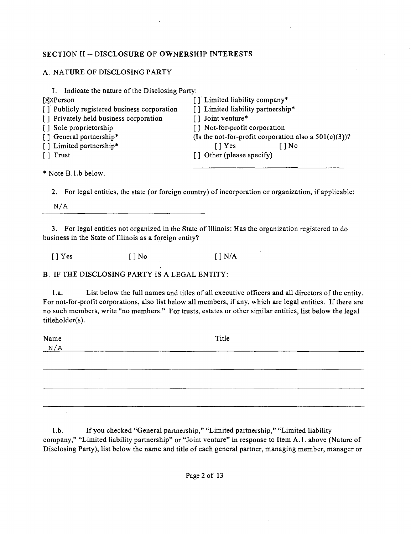## **SECTION II ~ DISCLOSURE OF OWNERSHIP INTERESTS**

## A. NATURE OF DISCLOSING PARTY

| Indicate the nature of the Disclosing Party: |                                                          |  |
|----------------------------------------------|----------------------------------------------------------|--|
| <b>XXPerson</b>                              | [] Limited liability company*                            |  |
| [] Publicly registered business corporation  | [] Limited liability partnership*                        |  |
| [] Privately held business corporation       | [] Joint venture*                                        |  |
| [] Sole proprietorship                       | [] Not-for-profit corporation                            |  |
| [] General partnership*                      | (Is the not-for-profit corporation also a $501(c)(3)$ )? |  |
| [] Limited partnership*                      | [ ] No<br>$\lceil \cdot \rceil$ Yes                      |  |
| [ ] Trust                                    | [] Other (please specify)                                |  |
|                                              |                                                          |  |

\* Note B.l.b below.

2. For legal entities, the state (or foreign country) of incorporation or organization, if applicable:

 $N/A$ 

3. For legal entities not organized in the State of Illinois: Has the organization registered to do business in the State of Illinois as a foreign entity?

 $[$  ] Yes  $[$   $]$  No  $[$   $]$  N/A

B. IF THE DISCLOSING PARTY IS A LEGAL ENTITY:

1 .a. List below the full names and titles of all executive officers and all directors of the entity. For not-for-profit corporations, also list below all members, if any, which are legal entities. If there are no such members, write "no members." For trusts, estates or other similar entities, list below the legal titleholder(s).

Name Title  $N/A$ 

1 .b. If you checked "General partnership," "Limited partnership," "Limited liability company," "Limited liability partnership" or "Joint venture" in response to Item A.l . above (Nature of Disclosing Party), list below the name and title of each general partner, managing member, manager or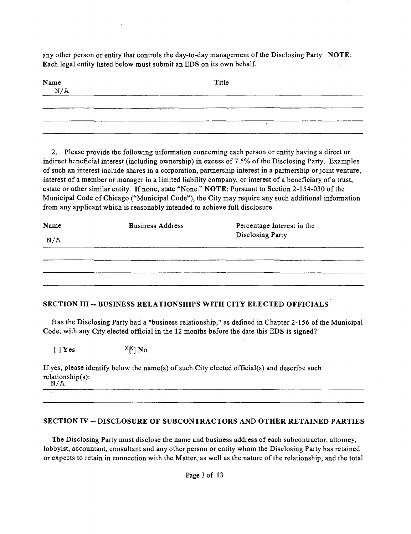any other person or entity that controls the day-to-day management of the Disclosing Party. NOTE: Each legal entity listed below must submit an EDS on its own behalf.

| Name $N/A$ |  | Title |  |
|------------|--|-------|--|
|            |  |       |  |
|            |  |       |  |

2. Please provide the following uiformation conceming each person or entity having a direct or indirect beneficial interest (including ownership) in excess of 7.5% of the Disclosing Party. Examples of such an interest include shares in a corporation, partnership interest in a partaership or joint venture, interest of a member or manager in a limited liability company, or interest of a beneficiary of a trust, estate or other similar entity. If none, state "None." NOTE: Pursuant to Section 2-154-030 of the Municipal Code of Chicago ("Municipal Code"), the City may require any such additional information from any applicant which is reasonably intended to achieve full disclosure.

| Name | <b>Business Address</b> | Percentage Interest in the<br><b>Disclosing Party</b> |  |
|------|-------------------------|-------------------------------------------------------|--|
| N/A  |                         |                                                       |  |
|      |                         |                                                       |  |
|      |                         |                                                       |  |
|      |                         |                                                       |  |
|      |                         |                                                       |  |

## **SECTION III - BUSINESS RELATIONSHIPS WITH CITY ELECTED OFFICIALS**

Has the Disclosing Party had a "business relationship," as defined in Chapter 2-156 of the Municipal Code, with any City elected official in the 12 months before the date this EDS is signed?

 $[ ] Yes$  X $K$ | No

If yes, please identify below the name(s) of such City elected official(s) and describe such relationship(s):  $N/A$ 

#### **SECTION IV - DISCLOSURE OF SUBCONTRACTORS AND OTHER RETAINED PARTIES**

The Disclosing Party must disclose the name and business address of each subcontractor, attomey, lobbyist, accountant, consultant and any other person or entity whom the Disclosing Party has retained or expects to retain in connection with the Matter, as well as the nature of the relationship, and the total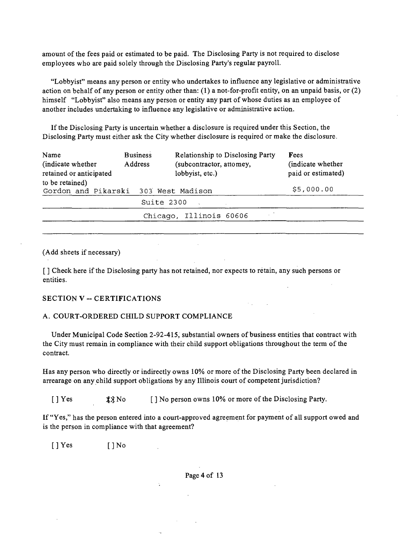amount of the fees paid or estimated to be paid. The Disclosing Party is not required to disclose employees who are paid solely through the Disclosing Party's regular payroll.

"Lobbyist" means any person or entity who undertakes to influence any legislative or administrative action on behalf of any person or entity other than: (1) a not-for-profit entity, on an unpaid basis, or (2) himself "Lobbyist" also means any person or entity any part of whose duties as an employee of another includes undertaking to influence any legislative or administrative action.

If the Disclosing Party is uncertain whether a disclosure is required under this Section, the Disclosing Party must either ask the City whether disclosure is required or make the disclosure.

| Name<br>(indicate whether)<br>retained or anticipated | <b>Business</b><br>Address | Relationship to Disclosing Party<br>(subcontractor, attomey,<br>lobbyist, etc.) | Fees<br>(indicate whether)<br>paid or estimated) |
|-------------------------------------------------------|----------------------------|---------------------------------------------------------------------------------|--------------------------------------------------|
| to be retained)<br>Gordon and Pikarski                |                            | 303 West Madison                                                                | \$5,000.00                                       |
|                                                       |                            | Suite 2300                                                                      |                                                  |
|                                                       |                            | Chicago, Illinois 60606                                                         |                                                  |
|                                                       |                            |                                                                                 |                                                  |

(Add sheets if necessary)

[ J Check here if the Disclosing party has not retained, nor expects to retain, any such persons or entities.

#### **SECTION V ~ CERTIFICATIONS**

#### A. COURT-ORDERED CHILD SUPPORT COMPLIANCE

Under Municipal Code Section 2-92-415, substantial owners of business entities that contract with the City must remain in compliance with their child support obligations throughout the term of the contract.

Has any person who directly or indirectly owns 10% or more of the Disclosing Party been declared in arrearage on any child support obligations by any Illinois court of competent jurisdiction?

 $[$  | Yes  $\frac{1}{2}$  No  $\frac{1}{2}$  No person owns 10% or more of the Disclosing Party.

If "Yes," has the person entered into a court-approved agreement for payment of all support owed and is the person in compliance with that agreement?

[ ] Yes [ ] No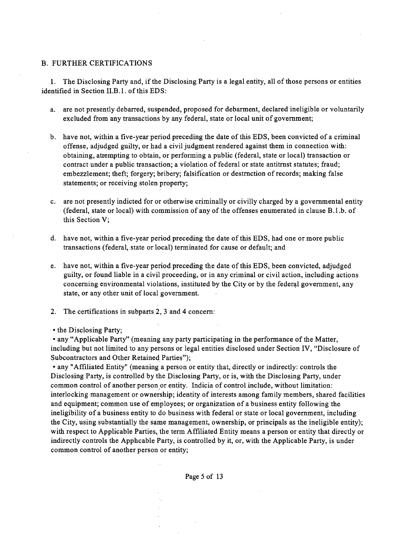#### B. FURTHER CERTIFICATIONS

1. The Disclosing Party and, if the Disclosing Party is a legal entity, all of those persons or entities identified in Section II.B.1. of this EDS:

- a. are not presently debarred, suspended, proposed for debarment, declared ineligible or voluntarily excluded from any transactions by any federal, state or local unit of govemment;
- b. have not, within a five-year period preceding the date of this EDS, been convicted of a criminal offense, adjudged guilty, or had a civil judgment rendered against them in connection with: obtaining, attempting to obtain, or performing a public (federal, state or local) transaction or contract under a public transaction; a violation of federal or state antitrnst statutes; fraud; embezzlement; theft; forgery; bribery; falsification or destmction of records; making false statements; or receiving stolen property;
- c. are not presently indicted for or otherwise criminally or civilly charged by a govemmental entity (federal, state or local) with commission of any of the offenses enumerated in clause  $B.l.b.$  of this Section V;
- d. have not, within a five-year period preceding the date ofthis EDS, had one or more public transactions (federal, state or local) terminated for cause or default; and
- e. have not, within a five-year period preceding the date of this EDS, been convicted, adjudged guilty, or found liable in a civil proceeding, or in any criminal or civil action, including actions conceming environmental violations, instituted by the City or by the federal govemment, any state, or any other unit of local government.
- 2. The certifications in subparts 2, 3 and 4 concem:

• the Disclosing Party;

• any "Applicable Party" (meaning any party participating in the performance of the Matter, including but not limited to any persons or legal entities disclosed under Section IV, "Disclosure of Subcontractors and Other Retained Parties");

• any "Affiliated Entity" (meaning a person or entity that, directly or indirectly: controls the Disclosing Party, is conttolled by the Disclosing Party, or is, with the Disclosing Party, under common conttol of another person or entity. Indicia of control include, without limitation: interlocking management or ownership; identity of interests among family members, shared facilities and equipment; common use of employees; or organization of a business entity following the ineligibility of a business entity to do business with federal or state or local government, including the City, using substantially the same management, ownership, or principals as the ineligible entity); with respect to Applicable Parties, the term Affiliated Entity means a person or entity that directly or indirectly conttols the Apphcable Party, is conttolled by it, or, with the Applicable Party, is under common control of another person or entity;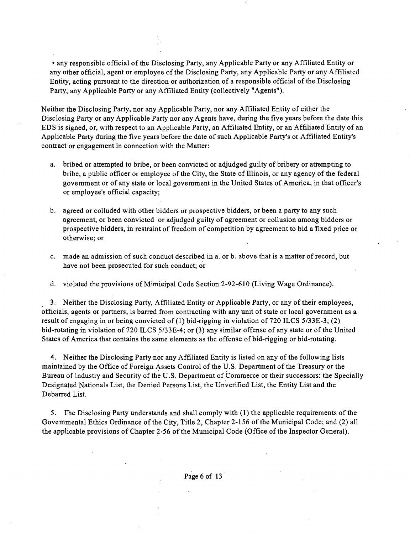• any responsible official of the Disclosing Party, any Applicable Party or any Affiliated Entity or any other official, agent or employee of the Disclosing Party, any Applicable Party or any Affiliated Entity, acting pursuant to the direction or authorization of a responsible official of the Disclosing Party, any Applicable Party or any Affiliated Entity (collectively "Agents").

Neither the Disclosing Party, nor any Applicable Party, nor any Affiliated Entity of either the Disclosing Party or any Applicable Party nor any Agents have, during the five years before the date this EDS is signed, or, with respect to an Applicable Party, an Affiliated Entity, or an Affiliated Entity of an Applicable Party during the five years before the date of such Applicable Party's or Affiliated Entity's conttact or engagement in connection with the Matter:

- a. bribed or attempted to bribe, or been convicted or adjudged guilty of bribery or attempting to bribe, a public officer or employee of the City, the State of Illinois, or any agency of the federal govemment or of any state or local govemment in the United States of America, in that officer's or employee's official capacity;
- b. agreed or colluded with other bidders or prospective bidders, or been a party to any such agreement, or been convicted or adjudged guilty of agreement or collusion among bidders or prospective bidders, in restraint of freedom of competition by agreement to bid a fixed price or otherwise; or
- c. made an admission of such conduct described in a. or b. above that is a matter of record, but have not been prosecuted for such conduct; or
- d. violated the provisions of Mimieipal Code Section 2-92-610 (Living Wage Ordinance).

3. Neither the Disclosing Party, Affiliated Entity or Applicable Party, or any of their employees, officials, agents or partners, is barred from contracting with any unit of state or local government as a result of engaging in or being convicted of (1) bid-rigging in violation of 720 ILCS 5/33E-3; (2) bid-rotating in violation of 720 ILCS 5/33E-4; or (3) any similar offense of any state or of the United States of America that contains the same elements as the offense of bid-rigging or bid-rotating.

4. Neither the Disclosing Party nor any Affiliated Entity is listed on any ofthe following lists maintained by the Office of Foreign Assets Control of the U.S. Department ofthe Treasury or the Bureau of lndustry and Security of the U.S. Department of Commerce or their successors: the Specially Designated Nationals List, the Denied Persons List, the Unverified List, the Entity List and the Debarred List.

5. The Disclosing Party understands and shall comply with (1) the applicable requirements of the Govemmental Ethics Ordinance of the City, Title 2, Chapter 2-156 of the Municipal Code; and (2) all the applicable provisions of Chapter 2-56 of the Municipal Code (Office of the Inspector General).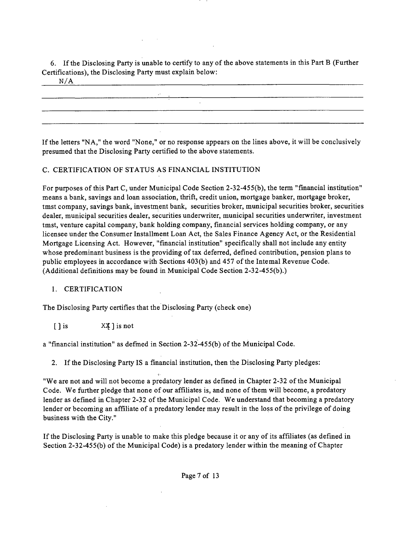6. If the Disclosing Party is unable to certify to any of the above statements in this Part B (Further Certifications), the Disclosing Party must explain below:

 $N/A$ 

If the letters "NA," the word "None," or no response appears on the lines above, it will be conclusively presumed that the Disclosing Party certified to the above statements.

## C. CERTIFICATION OF STATUS AS FINANCIAL INSTITUTION

For purposes of this Part C, under Municipal Code Section 2-32-455(b), the term "financial institution" means a bank, savings and loan association, thrift, credit union, mortgage banker, mortgage broker, tmst company, savings bank, investment bank, securities broker, municipal securities broker, securities dealer, municipal securities dealer, securities underwriter, municipal securities underwriter, investment tmst, venture capital company, bank holding company, financial services holding company, or any licensee under the Consumer Installment Loan Act, the Sales Finance Agency Act, or the Residential Mortgage Licensing Act. However, "financial institution" specifically shall not include any entity whose predominant business is the providing of tax deferred, defined contribution, pension plans to public employees in accordance with Sections 403(b) and 457 ofthe Intemal Revenue Code. (Additional definitions may be found in Municipal Code Section 2-32-455(b).)

#### 1. CERTIFICATION

The Disclosing Party certifies that the Disclosing Party (check one)

 $[ ]$  is  $X \times Y$  is not

a "financial institution" as defmed in Section 2-32-455(b) of the Municipal Code.

2. If the Disclosing Party IS a financial institution, then the Disclosing Party pledges:

"We are not and will not become a predatory lender as defined in Chapter 2-32 of the Municipal Code. We further pledge that none of our affiliates is, and none of them will become, a predatory lender as defined in Chapter 2-32 of the Municipal Code. We understand that becoming a predatory lender or becoming an affiliate of a predatory lender may result in the loss of the privilege of doing business with the City."

If the Disclosing Party is unable to make this pledge because it or any of its affiliates (as defined in Section 2-32-455(b) of the Municipal Code) is a predatory lender within the meaning of Chapter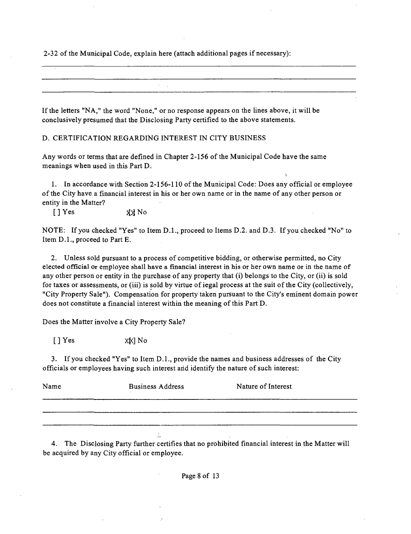2-32 of the Municipal Code, explain here (attach additional pages if necessary):

If the letters "NA," the word "None," or no response appears on the lines above, it will be conclusively presumed that the Disclosing Party certified to the above statements.

D. CERTIFICATION REGARDING INTEREST IN CITY BUSINESS

Any words or terms that are defined in Chapter 2-156 of the Municipal Code have the same meanings when used in this Part D.

1. In accordance with Section 2-156-110 of the Municipal Code: Does any official or employee of the City have a financial interest in his or her own name or in the name of any other person or entity in the Matter?

[ ] Yes XX No

NOTE: If you checked "Yes" to Item D.L, proceed to Items D.2. and D.3. If you checked "No" to Item D.L, proceed to Part E.

2. Unless sold pursuant to a process of competitive bidding, or otherwise permitted, no City elected official or employee shall have a financial interest in his or her own name or in the name of any other person or entity in the purchase of any property that (i) belongs to the City, or (ii) is sold for taxes or assessments, or (iii) is sold by virtue of iegal process at the suit of the City (collectively, "City Property Sale"). Compensation for property taken pursuant to the City's eminent domain power does not constitute a financial interest within the meaning of this Part D.

Does the Matter involve a City Property Sale?

 $[ ]$  Yes  $X[k]$  No

3. If you checked "Yes" to Item D.l. , provide the names and business addresses of the City officials or employees having such interest arid identify the nature of such interest:

| Name | <b>Business Address</b> | Nature of Interest |
|------|-------------------------|--------------------|
|      |                         |                    |
|      |                         |                    |

4. The Disclosing Party further certifies that no prohibited financial interest in the Matter will be acquired by any City official or employee.

÷.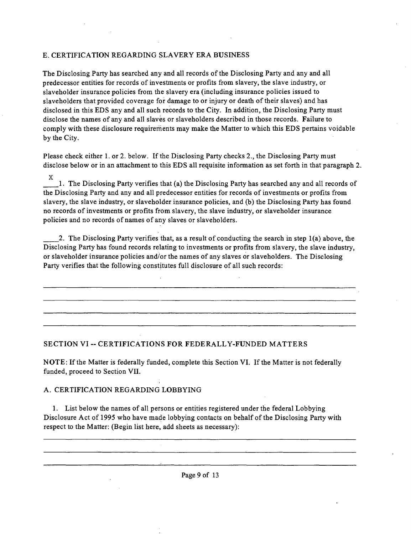## E. CERTIFICATION REGARDING SLAVERY ERA BUSINESS

The Disclosing Party has searched any and all records of the Disclosing Party and any and all predecessor entities for records of investments or profits from slavery, the slave industry, or slaveholder insurance policies from the slavery era (including insurance policies issued to slaveholders that provided coverage for damage to or injury or death of their slaves) and has disclosed in this EDS any and all such records to the City. In addition, the Disclosing Party must disclose the names of any and all slaves or slaveholders described in those records. Failure to comply with these disclosure requirements may make the Matter to which this EDS pertains voidable by the City.

Please check either 1. or 2. below. If the Disclosing Party checks 2., the Disclosing Party must disclose below or in an attachment to this EDS all requisite information as set forth in that paragraph 2.

X 1. The Disclosing Party verifies that (a) the Disclosing Party has searched any and all records of the Disclosing Party and any and all predecessor entities for records of investments or profits from slavery, the slave industry, or slaveholder insurance policies, and (b) the Disclosing Party has found no records of investments or profits from slavery, the slave industry, or slaveholder insurance policies and no records of names of any slaves or slaveholders.

2. The Disclosing Party verifies that, as a result of conducting the search in step 1(a) above, the Disclosing Party has found records relating to investments or profits from slavery, the slave industry, or slaveholder insurance policies and/or the names of any slaves or slaveholders. The Disclosing Party verifies that the following constitutes full disclosure of all such records:

## **SECTION VI ~ CERTIFICATIONS FOR FEDERALLY-FUNDED MATTERS**

NOTE: If the Matter is federally funded, complete this Section VI. If the Matter is not federally funded, proceed to Section VII.

#### A. CERTIFICATION REGARDING LOBBYING

1. List below the names of all persons or entities registered under the federal Lobbying Disclosure Act of 1995 who have made lobbying contacts on behalf of the Disclosing Party with respect to the Matter: (Begin list here, add sheets as necessary):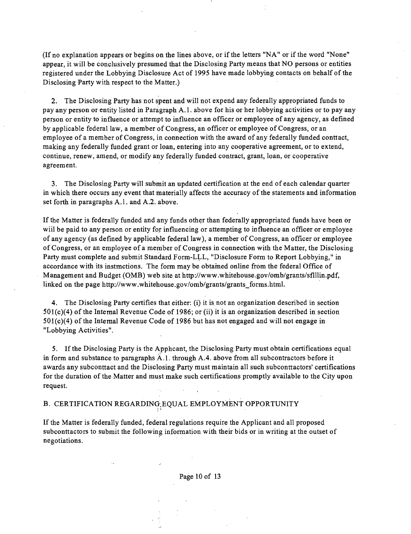(Ifno explanation appears or begins on the lines above, or if the letters "NA" or if the word "None" appear, it will be conclusively presumed that the Disclosing Party means that NO persons or entities registered under the Lobbying Disclosure Act of 1995 have made lobbying contacts on behalf of the Disclosing Party with respect to the Matter.)

2. The Disclosing Party has not spent and will not expend any federally appropriated funds to pay any person or entity listed in Paragraph A.l . above for his or her lobbying activities or to pay any person or entity to influence or attempt to influence an officer or employee of any agency, as defined by applicable federal law, a member of Congress, an officer or employee of Congress, or an employee of a member of Congress, in connection with the award of any federally funded conttact, making any federally funded grant or loan, entering into any cooperative agreement, or to extend, continue, renew, amend, or modify any federally funded contract, grant, loan, or cooperative agreement.

3. The Disclosing Party will submit an updated certification at the end of each calendar quarter in which there occurs any event that materially affects the accuracy of the statements and information set forth in paragraphs A.l . and A.2. above.

If the Matter is federally funded and any funds other than federally appropriated funds have been or wiil be paid to any person or entity for influencing or attempting to influence an officer or employee of any agency (as defined by applicable federal law), a member of Congress, an officer or employee of Congress, or an employee of a member of Congress in connection with the Matter, the Disclosing Party must complete and submit Standard Form-LLL, "Disclosure Form to Report Lobbying," in accordance with its instmctions. The form may be obtamed online from the federal Office of Management and Budget (OMB) web site at http://www.whitehouse.gov/omb/grants/sflllin.pdf, linked on the page http://www.whitehouse.gov/omb/grants/grants\_forms.html.

4. The Disclosing Party certifies that either: (i) it is not an organization described in section 501(c)(4) of the Intemal Revenue Code of 1986; or (ii) it is an organization described in section  $501(c)(4)$  of the Intemal Revenue Code of 1986 but has not engaged and will not engage in "Lobbying Activities".

5. If the Disclosing Party is the Apphcant, the Disclosing Party must obtain certifications equal in form and substance to paragraphs A.l . through A.4. above from all subcontractors before it awards any subconttact and the Disclosing Party must maintain all such subconttactors' certifications for the duration of the Matter and must make such certifications promptly available to the City upon request.

## B. CERTIFICATION REGARDING-EQUAL EMPLOYMENT OPPORTUNITY

If the Matter is federally funded, federal regulations require the Applicant and all proposed subconttactors to submit the following information with their bids or in writing at the outset of negotiations.

Page 10 of 13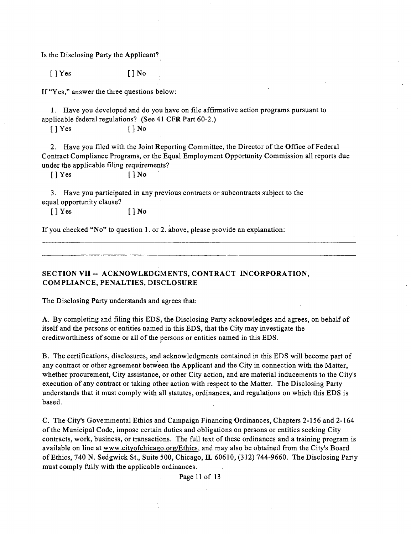Is the Disclosing Party the Applicant?

[JYes [JNo

If "Yes," answer the three questions below:

1. Have you developed and do you have on file affirmative action programs pursuant to applicable federal regulations? (See 41 CFR Part 60-2.)

[ ] Yes [ ] No

2. Have you filed with the Joint Reporting Committee, the Director of the Office of Federal Contract Compliance Programs, or the Equal Employment Opportunity Commission all reports due under the applicable filing requirements?

[ ] Yes [ ] No

3. Have you participated in any previous contracts or subcontracts subject to the equal opportunity clause?

 $[$   $]$   $Y$ es  $[$   $]$   $N$ o

If you checked "No" to question 1. or 2. above, please provide an explanation:

**SECTION VII ~ ACKNOWLEDGMENTS, CONTRACT INCORPORATION, COMPLIANCE, PENALTIES, DISCLOSURE** 

The Disclosing Party understands and agrees that:

A. By completing and filing this EDS, the Disclosing Party acknowledges and agrees, on behalf of itself and the persons or entities named in this EDS, that the City may investigate the creditworthiness of some or all of the persons or entities named in this EDS.

B. The certifications, disclosures, and acknowledgments contained in this EDS will become part of any contract or other agreement between the Applicant and the City in connection with the Matter, whether procurement. City assistance, or other City action, and are material inducements to the City's execution of any contract or taking other action with respect to the Matter. The Disclosing Party understands that it must comply with all statutes, ordinances, and regulations on which this EDS is based.

C. The City's Govemmental Ethics and Campaign Financing Ordinances, Chapters 2-156 and 2-164 of the Municipal Code, impose certain duties and obligations on persons or entities seeking City contracts, work, business, or transactions. The full text of these ordinances and a training program is available on line at www.cityofchicago.org/Ethics, and may also be obtained from the City's Board of Ethics, 740 N. Sedgwick St., Suite 500, Chicago, IL 60610, (312) 744-9660. The Disclosing Party must comply fully with the applicable ordinances.

Page 11 of 13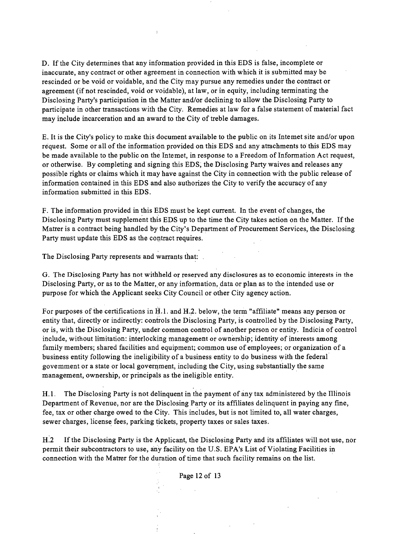D. If the City determines that any information provided in this EDS is false, incomplete or inaccurate, any contract or other agreement in connection with which it is submitted may be rescinded or be void or voidable, and the City may pursue any remedies under the conttact or agreement (if not rescinded, void or voidable), at law, or in equity, including terminating the Disclosing Party's participation in the Matter and/or declining to allow the Disclosing Party to participate in other ttansactions with the City. Remedies at law for a false statement of material fact may include incarceration and an award to the City of treble damages.

E. It is the City's policy to make this document available to the public on its Intemet site and/or upon request. Some or all of the information provided on this EDS and any attachments to this EDS may be made available to the public on the Intemet, in response to a Freedom of Information Act request, or otherwise. By completing and signing this EDS, the Disclosing Party waives and releases any possible rights or claims which it may have against the City in connection with the public release of information contained in this EDS and also authorizes the City to verify the accuracy of any information submitted in this EDS.

F. The information provided in this EDS must be kept cunent. In the event of changes, the Disclosing Party must supplement this EDS up to the time the City takes action on the Matter. If the Matter is a conttact being handled by the City's Department of Procurement Services, the Disclosing Party must update this EDS as the contract requires.

The Disclosing Party represents and warrants that:

G. The Disclosing Party has not withheld or reserved any disclosures as to economic interests in the Disclosing Party, or as to the Matter, or any information, data or plan as to the intended use or purpose for which the Applicant seeks City Council or other City agency action.

For purposes of the certifications in H.l. and H.2. below, the term "affiliate" means any person or entity that, directly or indirectly: confrols the Disclosing Party, is controlled by the Disclosing Party, or is, with the Disclosing Party, under common conttol of another person or entity. Indicia of control include, without limitation: interlocking management or ownership; identity of interests among family members; shared facilities and equipment; common use of employees; or organization of a business entity following the ineligibility of a business entity to do business with the federal govemment or a state or local government, including the City, using substantially the same management, ownership, or principals as the ineligible entity.

H.1. The Disclosing Party is not delinquent in the payment of any tax administered by the Illinois Department of Revenue, nor are the Disclosing Party or its affiliates delinquent in paying any fine, fee, tax or other charge owed to the City. This includes, but is not limited to, all water charges, sewer charges, license fees, parking tickets, property taxes or sales taxes.

H.2 If the Disclosing Party is the Applicant, the Disclosing Party and its affiliates will not use, nor permit their subcontractors to use, any facility on the U.S. EPA's List of Violating Facilities in connection with the Matter for the duration of time that such facility remains on the list.

Page 12 of 13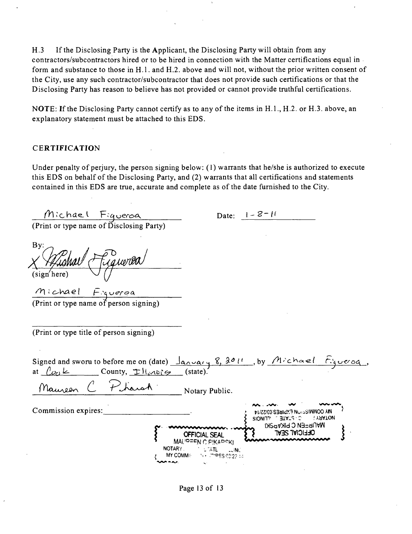H.3 If the Disclosing Party is the Applicant, the Disclosing Party will obtain from any contractors/subcontractors hired or to be hired in connection with the Matter certifications equal in form and substance to those in H.l. and H.2. above and will not, without the prior written consent of the City, use any such contractor/subcontractor that does not provide such certifications or that the Disclosing Party has reason to believe has not provided or cannot provide tmthful certifications.

NOTE: If the Disclosing Party cannot certify as to any of the items in  $H.1., H.2.$  or  $H.3.$  above, an explanatory statement must be attached to this EDS.

#### **CERTIFICATION**

Under penalty of perjury, the person signing below:  $(1)$  warrants that he/she is authorized to execute this EDS on behalf of the Disclosing Party, and (2) warrants that all certifications and statements contained in this EDS are tme, accurate and complete as of the date furnished to the City.

 $M$ : chael Figueroa<br>(Print or type name of Disclosing Party) Date:  $1 - 8 - 11$ By: a uerea (sign'here)  $m$ :chael  $F$ . querea (Print or type name of person signing) (Print or type title of person signing) Signed and sworu to before me on (date)  $\frac{1}{4}$  $\frac{1}{4}$  $\frac{1}{4}$ ,  $\frac{1}{8}$ ,  $\frac{1}{8}$ ,  $\frac{1}{1}$ , by  $\frac{1}{1}$ .  $\frac{1}{6}$ at  $\rho_{\varphi}$   $\ll$  County,  $\pm$  H<sub>e</sub> $\sim$ ies (state). Notary Public. Maureon Commission expires: • .' >t/Z3/C0:S3aidy.TNuiiSIW/JOO AIM SIONITY BIVLS C  $\left\{ \begin{array}{c} 1 \\ 1 \end{array} \right.$ **INSOVING O NO SIKVERI OFFICIAL SEAL OFFICIAL SEAL MAUPEEN C PIKADOKI NOTARY** NOTA**TL** ..........NC<br>http://www.com **MY COMMI:**